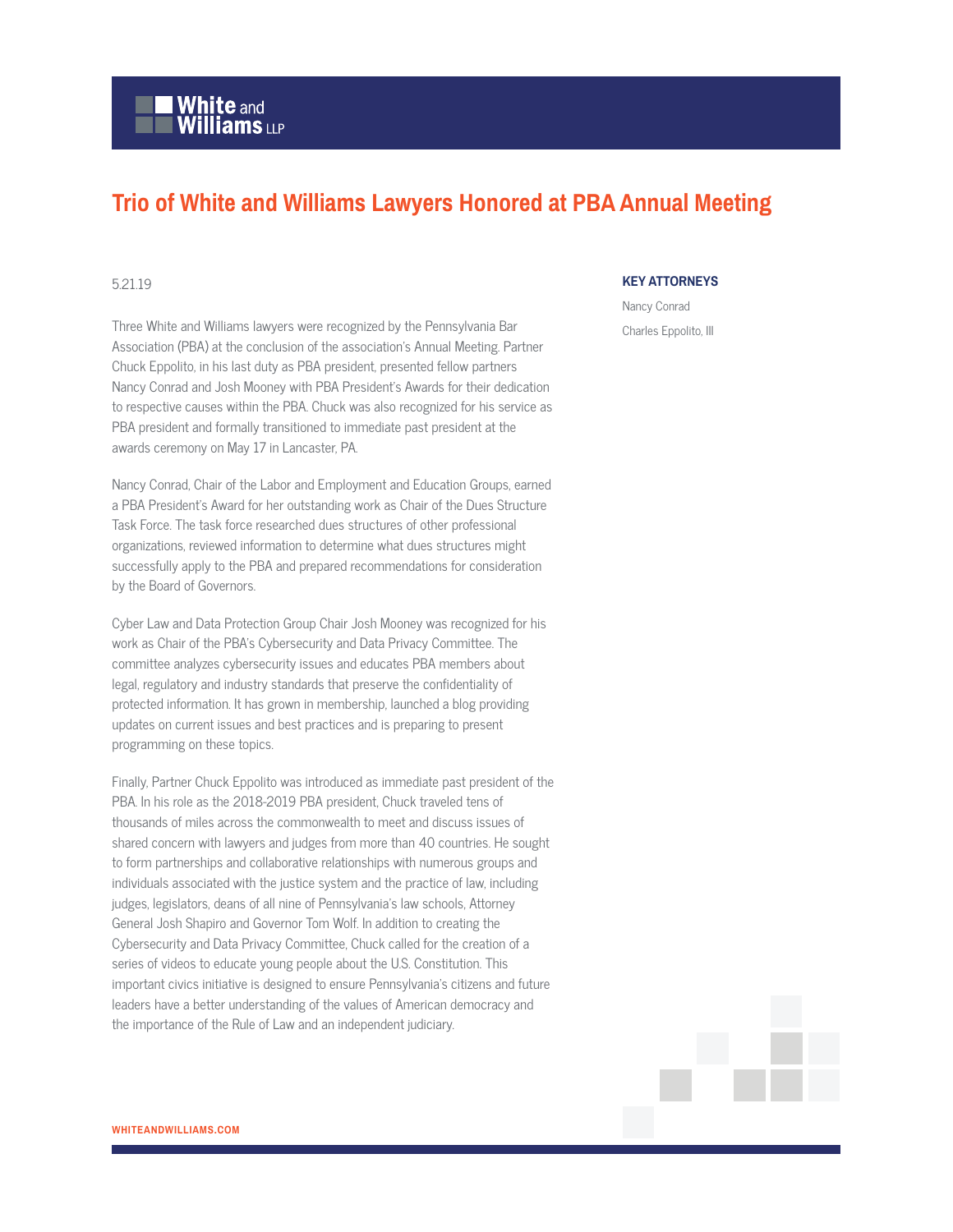# **White and Williams LLP**

## **Trio of White and Williams Lawyers Honored at PBA Annual Meeting**

#### 5.21.19

Three White and Williams lawyers were recognized by the Pennsylvania Bar Association (PBA) at the conclusion of the association's Annual Meeting. Partner Chuck Eppolito, in his last duty as PBA president, presented fellow partners Nancy Conrad and Josh Mooney with PBA President's Awards for their dedication to respective causes within the PBA. Chuck was also recognized for his service as PBA president and formally transitioned to immediate past president at the awards ceremony on May 17 in Lancaster, PA.

Nancy Conrad, Chair of the Labor and Employment and Education Groups, earned a PBA President's Award for her outstanding work as Chair of the Dues Structure Task Force. The task force researched dues structures of other professional organizations, reviewed information to determine what dues structures might successfully apply to the PBA and prepared recommendations for consideration by the Board of Governors.

Cyber Law and Data Protection Group Chair Josh Mooney was recognized for his work as Chair of the PBA's Cybersecurity and Data Privacy Committee. The committee analyzes cybersecurity issues and educates PBA members about legal, regulatory and industry standards that preserve the confidentiality of protected information. It has grown in membership, launched a blog providing updates on current issues and best practices and is preparing to present programming on these topics.

Finally, Partner Chuck Eppolito was introduced as immediate past president of the PBA. In his role as the 2018-2019 PBA president, Chuck traveled tens of thousands of miles across the commonwealth to meet and discuss issues of shared concern with lawyers and judges from more than 40 countries. He sought to form partnerships and collaborative relationships with numerous groups and individuals associated with the justice system and the practice of law, including judges, legislators, deans of all nine of Pennsylvania's law schools, Attorney General Josh Shapiro and Governor Tom Wolf. In addition to creating the Cybersecurity and Data Privacy Committee, Chuck called for the creation of a series of videos to educate young people about the U.S. Constitution. This important civics initiative is designed to ensure Pennsylvania's citizens and future leaders have a better understanding of the values of American democracy and the importance of the Rule of Law and an independent judiciary.

#### **KEY ATTORNEYS**

Nancy Conrad Charles Eppolito, III